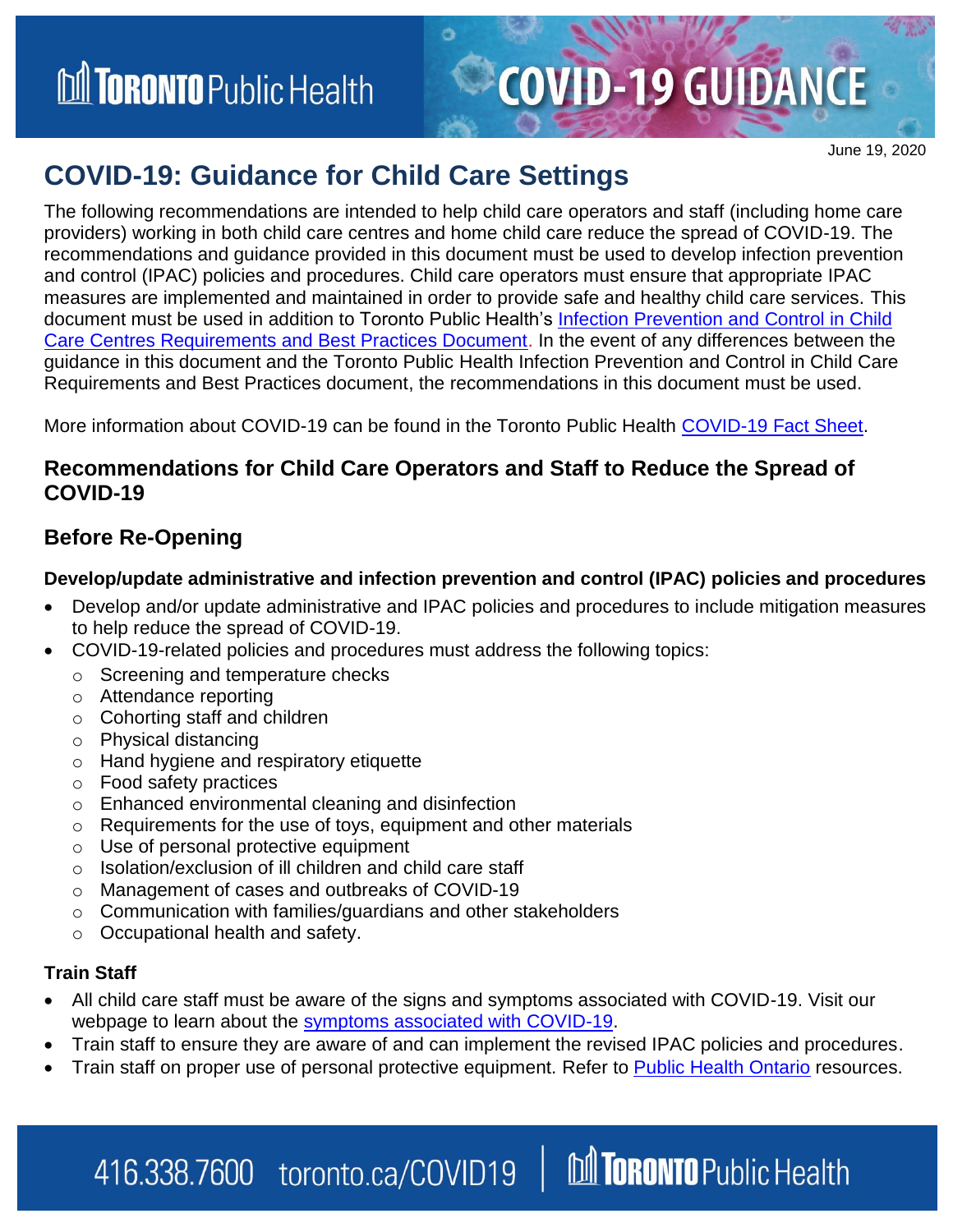**M TORONTO** Public Health

#### June 19, 2020

### **COVID-19: Guidance for Child Care Settings**

The following recommendations are intended to help child care operators and staff (including home care providers) working in both child care centres and home child care reduce the spread of COVID-19. The recommendations and guidance provided in this document must be used to develop infection prevention and control (IPAC) policies and procedures. Child care operators must ensure that appropriate IPAC measures are implemented and maintained in order to provide safe and healthy child care services. This document must be used in addition to Toronto Public Health's [Infection Prevention and Control in Child](https://www.toronto.ca/wp-content/uploads/2020/02/8c20-Child-Care-Centre-IPAC-RBP-Revised-2018-2019-AODA2.pdf)  [Care Centres Requirements and Best Practices Document.](https://www.toronto.ca/wp-content/uploads/2020/02/8c20-Child-Care-Centre-IPAC-RBP-Revised-2018-2019-AODA2.pdf) In the event of any differences between the guidance in this document and the Toronto Public Health Infection Prevention and Control in Child Care Requirements and Best Practices document, the recommendations in this document must be used.

More information about COVID-19 can be found in the Toronto Public Health [COVID-19 Fact Sheet.](https://www.toronto.ca/wp-content/uploads/2020/02/8d59-Fact-Sheet_Novel-Coronavirus.pdf)

#### **Recommendations for Child Care Operators and Staff to Reduce the Spread of COVID-19**

### **Before Re-Opening**

#### **Develop/update administrative and infection prevention and control (IPAC) policies and procedures**

- Develop and/or update administrative and IPAC policies and procedures to include mitigation measures to help reduce the spread of COVID-19.
- COVID-19-related policies and procedures must address the following topics:
	- o Screening and temperature checks
	- o Attendance reporting
	- o Cohorting staff and children
	- o Physical distancing
	- o Hand hygiene and respiratory etiquette
	- o Food safety practices
	- o Enhanced environmental cleaning and disinfection
	- $\circ$  Requirements for the use of toys, equipment and other materials
	- o Use of personal protective equipment
	- o Isolation/exclusion of ill children and child care staff
	- o Management of cases and outbreaks of COVID-19

416.338.7600 toronto.ca/COVID19

- o Communication with families/guardians and other stakeholders
- o Occupational health and safety.

#### **Train Staff**

- All child care staff must be aware of the signs and symptoms associated with COVID-19. Visit our webpage to learn about the [symptoms associated with COVID-19.](https://www.toronto.ca/home/covid-19/covid-19-what-you-should-do/covid-19-have-symptoms-or-been-exposed/?accordion=know-the-symptoms)
- Train staff to ensure they are aware of and can implement the revised IPAC policies and procedures.
- Train staff on proper use of personal protective equipment. Refer to [Public Health Ontario](https://www.publichealthontario.ca/en/diseases-and-conditions/infectious-diseases/respiratory-diseases/novel-coronavirus/public-resources) resources.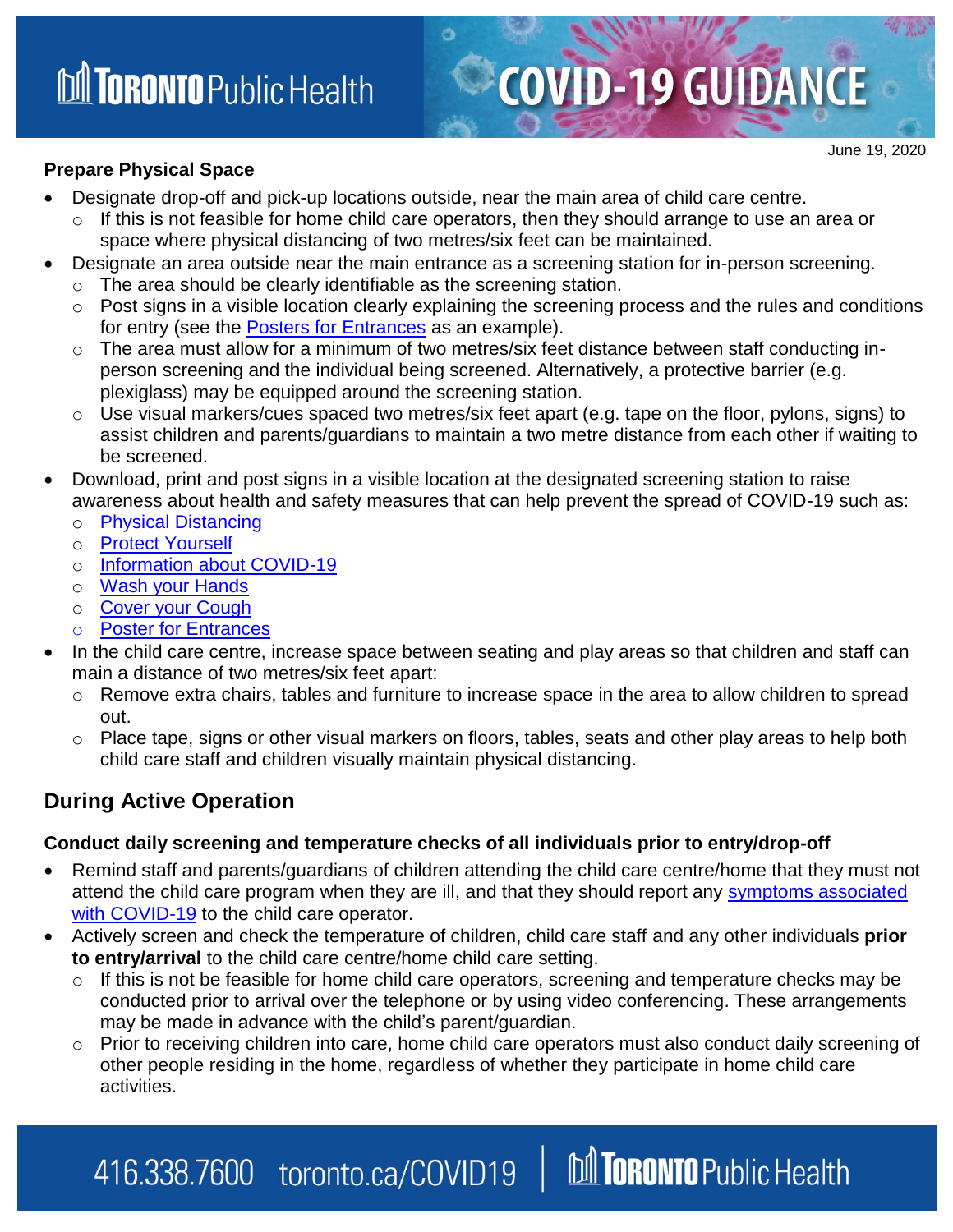#### **Prepare Physical Space**

June 19, 2020

- Designate drop-off and pick-up locations outside, near the main area of child care centre.
- $\circ$  If this is not feasible for home child care operators, then they should arrange to use an area or space where physical distancing of two metres/six feet can be maintained.
- Designate an area outside near the main entrance as a screening station for in-person screening.
	- o The area should be clearly identifiable as the screening station.
	- o Post signs in a visible location clearly explaining the screening process and the rules and conditions for entry (see the [Posters for Entrances](https://www.toronto.ca/wp-content/uploads/2020/06/97b3-Screening-poster-Child-Care-Center-June-2020.pdf) as an example).
	- o The area must allow for a minimum of two metres/six feet distance between staff conducting inperson screening and the individual being screened. Alternatively, a protective barrier (e.g. plexiglass) may be equipped around the screening station.
	- o Use visual markers/cues spaced two metres/six feet apart (e.g. tape on the floor, pylons, signs) to assist children and parents/guardians to maintain a two metre distance from each other if waiting to be screened.
- Download, print and post signs in a visible location at the designated screening station to raise awareness about health and safety measures that can help prevent the spread of COVID-19 such as:
	- o **[Physical Distancing](https://www.toronto.ca/wp-content/uploads/2020/03/8efd-COVID-19-Social-Distancing-WEB.pdf)**
	- o [Protect Yourself](https://www.toronto.ca/wp-content/uploads/2020/03/900d-COVID-19-ProtectYourself.pdf)
	- o [Information about COVID-19](https://www.toronto.ca/wp-content/uploads/2020/04/8f7a-How-COVID-19-Spreads.pdf)
	- o [Wash your Hands](https://www.toronto.ca/wp-content/uploads/2020/03/971a-COVID-19-WashYourHands.pdf)
	- o [Cover your Cough](https://www.toronto.ca/wp-content/uploads/2020/03/97a9-COVID-19-CoverYourCough.pdf)
	- o [Poster for Entrances](https://www.toronto.ca/wp-content/uploads/2020/06/97b3-Screening-poster-Child-Care-Center-June-2020.pdf)
- In the child care centre, increase space between seating and play areas so that children and staff can main a distance of two metres/six feet apart:
	- o Remove extra chairs, tables and furniture to increase space in the area to allow children to spread out.
	- $\circ$  Place tape, signs or other visual markers on floors, tables, seats and other play areas to help both child care staff and children visually maintain physical distancing.

### **During Active Operation**

#### **Conduct daily screening and temperature checks of all individuals prior to entry/drop-off**

- Remind staff and parents/guardians of children attending the child care centre/home that they must not attend the child care program when they are ill, and that they should report any symptoms associated [with COVID-19](https://www.toronto.ca/home/covid-19/covid-19-what-you-should-do/covid-19-have-symptoms-or-been-exposed/?accordion=know-the-symptoms) to the child care operator.
- Actively screen and check the temperature of children, child care staff and any other individuals **prior to entry/arrival** to the child care centre/home child care setting.
	- o If this is not be feasible for home child care operators, screening and temperature checks may be conducted prior to arrival over the telephone or by using video conferencing. These arrangements may be made in advance with the child's parent/guardian.
	- o Prior to receiving children into care, home child care operators must also conduct daily screening of other people residing in the home, regardless of whether they participate in home child care activities.

### **M TORONTO** Public Health 416.338.7600 toronto.ca/COVID19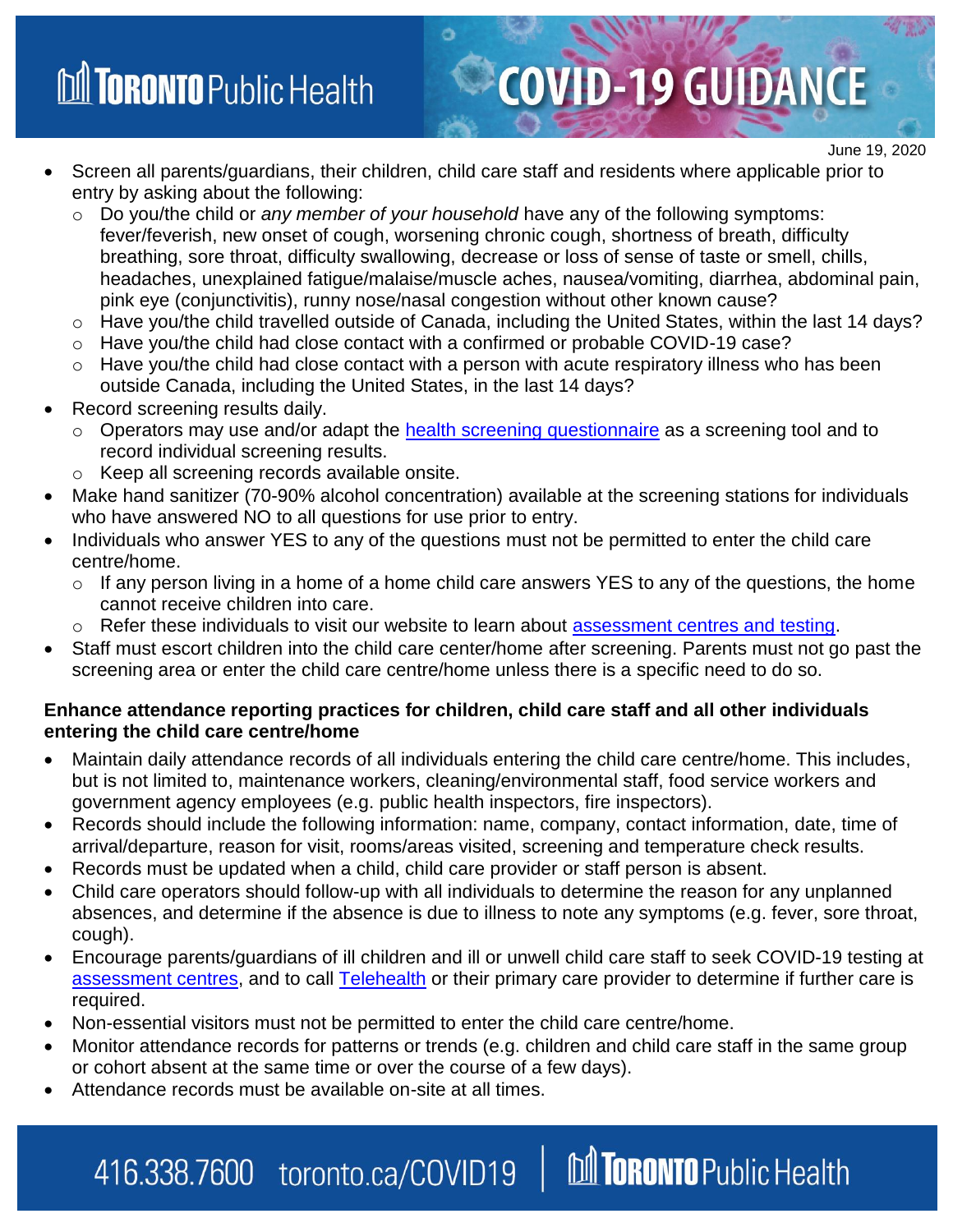- Screen all parents/guardians, their children, child care staff and residents where applicable prior to entry by asking about the following:
	- o Do you/the child or *any member of your household* have any of the following symptoms: fever/feverish, new onset of cough, worsening chronic cough, shortness of breath, difficulty breathing, sore throat, difficulty swallowing, decrease or loss of sense of taste or smell, chills, headaches, unexplained fatigue/malaise/muscle aches, nausea/vomiting, diarrhea, abdominal pain, pink eye (conjunctivitis), runny nose/nasal congestion without other known cause?

June 19, 2020

- o Have you/the child travelled outside of Canada, including the United States, within the last 14 days?
- $\circ$  Have you/the child had close contact with a confirmed or probable COVID-19 case?
- o Have you/the child had close contact with a person with acute respiratory illness who has been outside Canada, including the United States, in the last 14 days?
- Record screening results daily.
	- o Operators may use and/or adapt the [health screening questionnaire](https://www.toronto.ca/wp-content/uploads/2020/06/8faf-Survey-poster-Child-care-centres-TPH-June-2020.pdf) as a screening tool and to record individual screening results.
	- o Keep all screening records available onsite.
- Make hand sanitizer (70-90% alcohol concentration) available at the screening stations for individuals who have answered NO to all questions for use prior to entry.
- Individuals who answer YES to any of the questions must not be permitted to enter the child care centre/home.
	- $\circ$  If any person living in a home of a home child care answers YES to any of the questions, the home cannot receive children into care.
	- Refer these individuals to visit our website to learn about [assessment centres and testing.](https://www.toronto.ca/home/covid-19/covid-19-what-you-should-do/covid-19-have-symptoms-or-been-exposed/covid-19-assessment-centres/)
- Staff must escort children into the child care center/home after screening. Parents must not go past the screening area or enter the child care centre/home unless there is a specific need to do so.

#### **Enhance attendance reporting practices for children, child care staff and all other individuals entering the child care centre/home**

- Maintain daily attendance records of all individuals entering the child care centre/home. This includes, but is not limited to, maintenance workers, cleaning/environmental staff, food service workers and government agency employees (e.g. public health inspectors, fire inspectors).
- Records should include the following information: name, company, contact information, date, time of arrival/departure, reason for visit, rooms/areas visited, screening and temperature check results.
- Records must be updated when a child, child care provider or staff person is absent.
- Child care operators should follow-up with all individuals to determine the reason for any unplanned absences, and determine if the absence is due to illness to note any symptoms (e.g. fever, sore throat, cough).
- Encourage parents/guardians of ill children and ill or unwell child care staff to seek COVID-19 testing at assessment centres, and to call [Telehealth](https://www.ontario.ca/page/get-medical-advice-telehealth-ontario) or their primary care provider to determine if further care is required.
- Non-essential visitors must not be permitted to enter the child care centre/home.
- Monitor attendance records for patterns or trends (e.g. children and child care staff in the same group or cohort absent at the same time or over the course of a few days).

**M TORONTO** Public Health

Attendance records must be available on-site at all times.

416.338.7600 toronto.ca/COVID19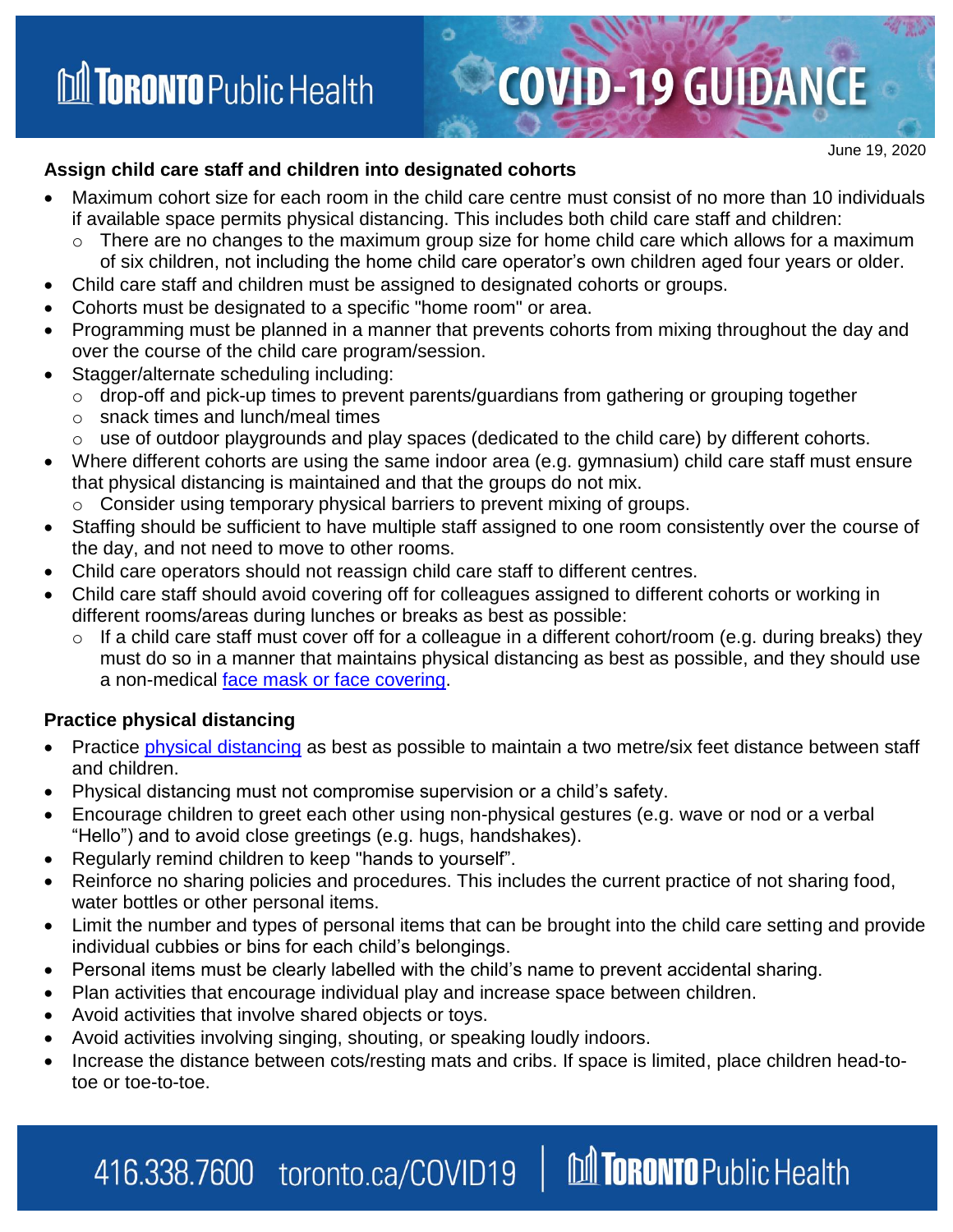#### June 19, 2020

#### **Assign child care staff and children into designated cohorts**

- Maximum cohort size for each room in the child care centre must consist of no more than 10 individuals if available space permits physical distancing. This includes both child care staff and children:
	- $\circ$  There are no changes to the maximum group size for home child care which allows for a maximum of six children, not including the home child care operator's own children aged four years or older.
- Child care staff and children must be assigned to designated cohorts or groups.
- Cohorts must be designated to a specific "home room" or area.
- Programming must be planned in a manner that prevents cohorts from mixing throughout the day and over the course of the child care program/session.
- Stagger/alternate scheduling including:
	- o drop-off and pick-up times to prevent parents/guardians from gathering or grouping together
	- o snack times and lunch/meal times
	- o use of outdoor playgrounds and play spaces (dedicated to the child care) by different cohorts.
- Where different cohorts are using the same indoor area (e.g. gymnasium) child care staff must ensure that physical distancing is maintained and that the groups do not mix.
	- o Consider using temporary physical barriers to prevent mixing of groups.
- Staffing should be sufficient to have multiple staff assigned to one room consistently over the course of the day, and not need to move to other rooms.
- Child care operators should not reassign child care staff to different centres.
- Child care staff should avoid covering off for colleagues assigned to different cohorts or working in different rooms/areas during lunches or breaks as best as possible:
	- o If a child care staff must cover off for a colleague in a different cohort/room (e.g. during breaks) they must do so in a manner that maintains physical distancing as best as possible, and they should use a non-medical [face mask or face covering.](https://www.toronto.ca/home/covid-19/covid-19-protect-yourself-others/covid-19-reduce-virus-spread/)

#### **Practice physical distancing**

- Practice [physical distancing](https://www.toronto.ca/wp-content/uploads/2020/03/9812-Practicing-Social-Distancing_EN.pdf) as best as possible to maintain a two metre/six feet distance between staff and children.
- Physical distancing must not compromise supervision or a child's safety.
- Encourage children to greet each other using non-physical gestures (e.g. wave or nod or a verbal "Hello") and to avoid close greetings (e.g. hugs, handshakes).
- Regularly remind children to keep "hands to yourself".
- Reinforce no sharing policies and procedures. This includes the current practice of not sharing food, water bottles or other personal items.
- Limit the number and types of personal items that can be brought into the child care setting and provide individual cubbies or bins for each child's belongings.
- Personal items must be clearly labelled with the child's name to prevent accidental sharing.
- Plan activities that encourage individual play and increase space between children.
- Avoid activities that involve shared objects or toys.
- Avoid activities involving singing, shouting, or speaking loudly indoors.
- Increase the distance between cots/resting mats and cribs. If space is limited, place children head-totoe or toe-to-toe.

### **M TORONTO** Public Health 416.338.7600 toronto.ca/COVID19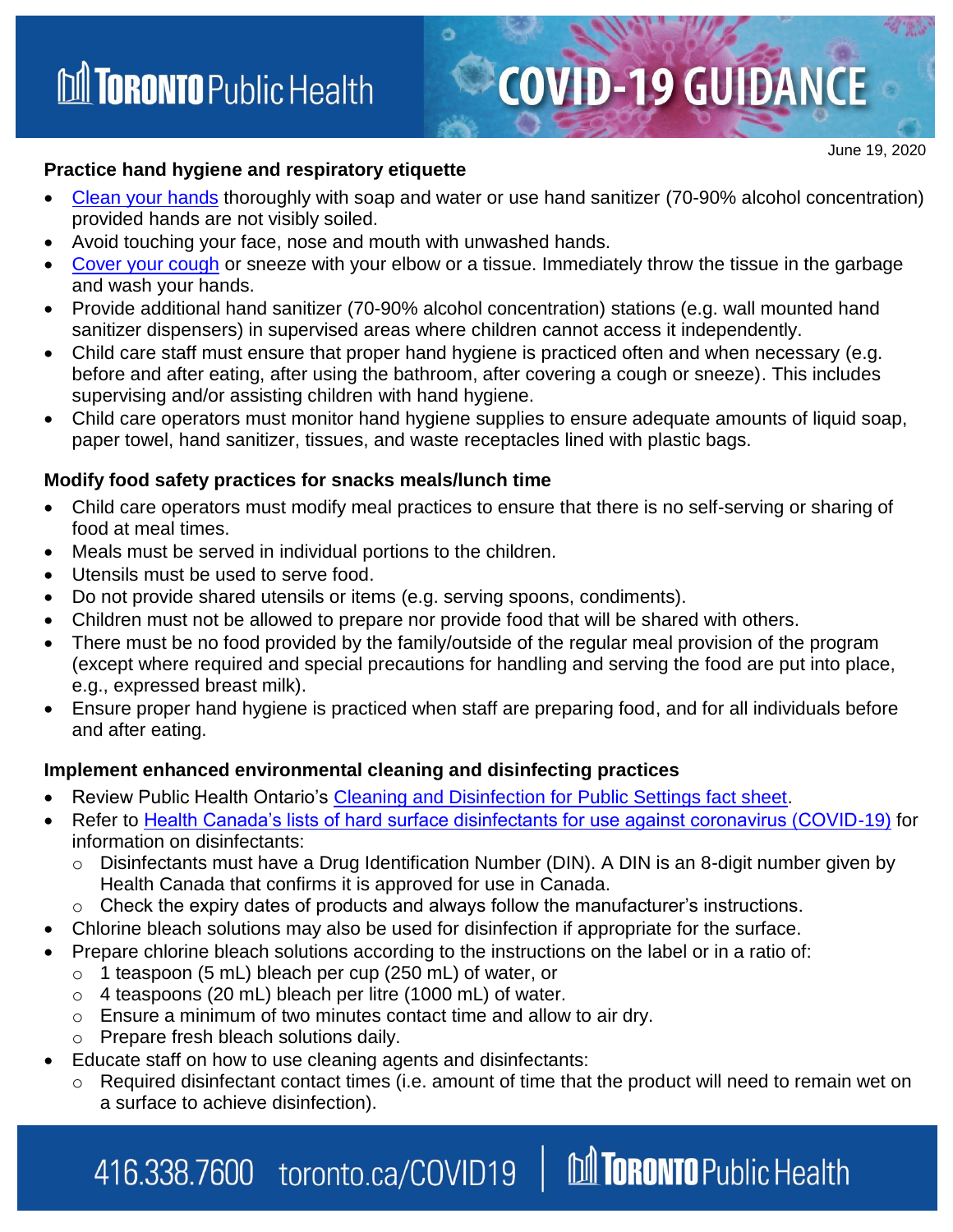#### **Practice hand hygiene and respiratory etiquette**

• Clean [your hands](https://www.toronto.ca/wp-content/uploads/2020/03/971a-COVID-19-WashYourHands.pdf) thoroughly with soap and water or use hand sanitizer (70-90% alcohol concentration) provided hands are not visibly soiled.

**COVID-19 GUIDANCE** 

- Avoid touching your face, nose and mouth with unwashed hands.
- [Cover your cough](https://www.toronto.ca/wp-content/uploads/2020/03/97a9-COVID-19-CoverYourCough.pdf) or sneeze with your elbow or a tissue. Immediately throw the tissue in the garbage and wash your hands.
- Provide additional hand sanitizer (70-90% alcohol concentration) stations (e.g. wall mounted hand sanitizer dispensers) in supervised areas where children cannot access it independently.
- Child care staff must ensure that proper hand hygiene is practiced often and when necessary (e.g. before and after eating, after using the bathroom, after covering a cough or sneeze). This includes supervising and/or assisting children with hand hygiene.
- Child care operators must monitor hand hygiene supplies to ensure adequate amounts of liquid soap, paper towel, hand sanitizer, tissues, and waste receptacles lined with plastic bags.

#### **Modify food safety practices for snacks meals/lunch time**

- Child care operators must modify meal practices to ensure that there is no self-serving or sharing of food at meal times.
- Meals must be served in individual portions to the children.
- Utensils must be used to serve food.
- Do not provide shared utensils or items (e.g. serving spoons, condiments).
- Children must not be allowed to prepare nor provide food that will be shared with others.
- There must be no food provided by the family/outside of the regular meal provision of the program (except where required and special precautions for handling and serving the food are put into place, e.g., expressed breast milk).
- Ensure proper hand hygiene is practiced when staff are preparing food, and for all individuals before and after eating.

#### **Implement enhanced environmental cleaning and disinfecting practices**

- Review Public Health Ontario's [Cleaning and Disinfection for Public Settings fact sheet.](https://www.publichealthontario.ca/-/media/documents/ncov/factsheet-covid-19-environmental-cleaning.pdf?la=en)
- Refer to [Health Canada's lists of hard surface disinfectants for use against coronavirus \(COVID-19\)](https://www.canada.ca/en/health-canada/services/drugs-health-products/disinfectants/covid-19/list.html) for information on disinfectants:
	- o Disinfectants must have a Drug Identification Number (DIN). A DIN is an 8-digit number given by Health Canada that confirms it is approved for use in Canada.
	- Check the expiry dates of products and always follow the manufacturer's instructions.
- Chlorine bleach solutions may also be used for disinfection if appropriate for the surface.
- Prepare chlorine bleach solutions according to the instructions on the label or in a ratio of:
	- o 1 teaspoon (5 mL) bleach per cup (250 mL) of water, or
	- $\circ$  4 teaspoons (20 mL) bleach per litre (1000 mL) of water.
	- o Ensure a minimum of two minutes contact time and allow to air dry.
	- Prepare fresh bleach solutions daily.
- Educate staff on how to use cleaning agents and disinfectants:

416.338.7600 toronto.ca/COVID19

o Required disinfectant contact times (i.e. amount of time that the product will need to remain wet on a surface to achieve disinfection).

**M TORONTO** Public Health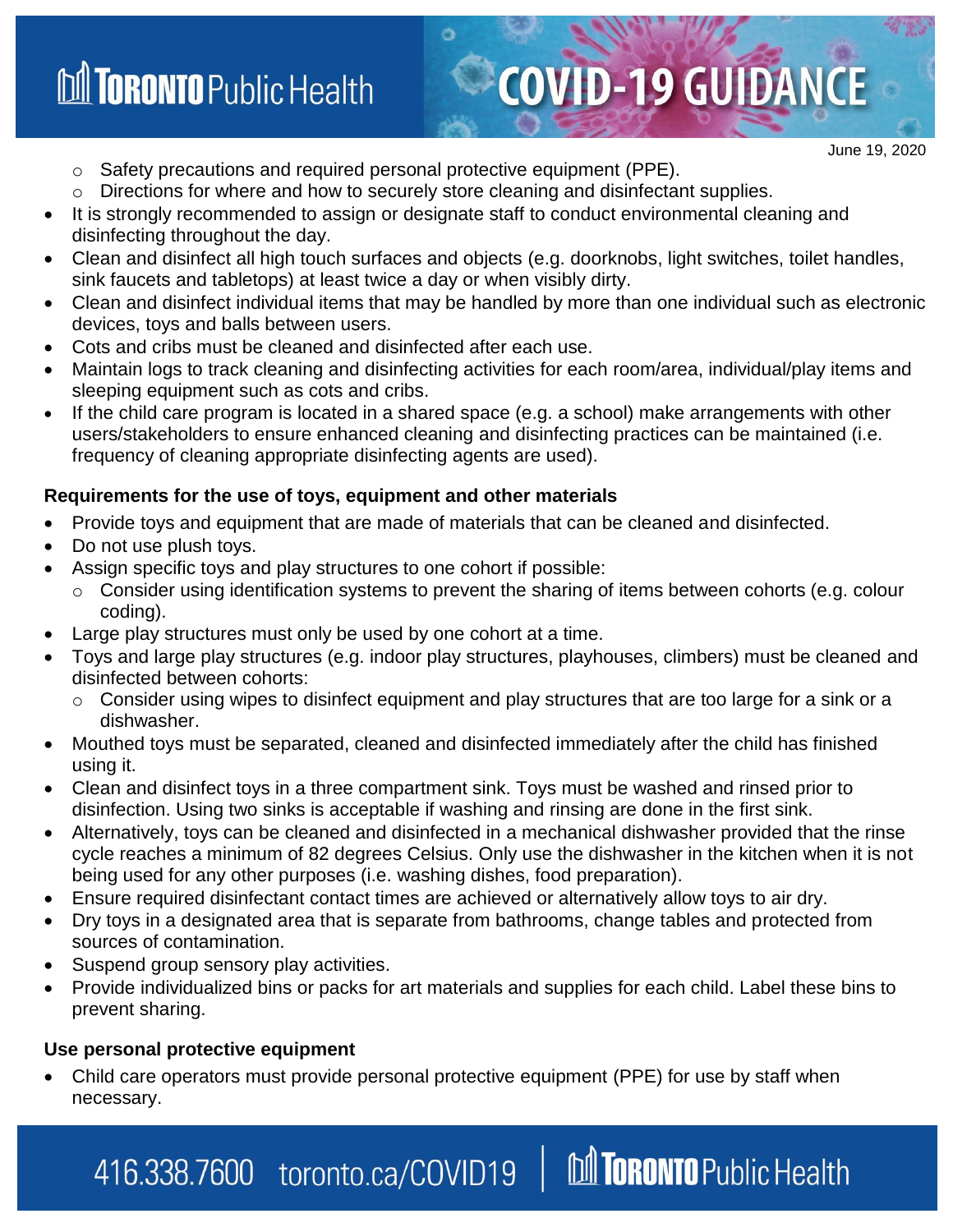### **M TORONTO** Public Health

# **COVID-19 GUIDANCE**

**M TORONTO** Public Health

June 19, 2020

- o Safety precautions and required personal protective equipment (PPE).
- Directions for where and how to securely store cleaning and disinfectant supplies.
- It is strongly recommended to assign or designate staff to conduct environmental cleaning and disinfecting throughout the day.
- Clean and disinfect all high touch surfaces and objects (e.g. doorknobs, light switches, toilet handles, sink faucets and tabletops) at least twice a day or when visibly dirty.
- Clean and disinfect individual items that may be handled by more than one individual such as electronic devices, toys and balls between users.
- Cots and cribs must be cleaned and disinfected after each use.
- Maintain logs to track cleaning and disinfecting activities for each room/area, individual/play items and sleeping equipment such as cots and cribs.
- If the child care program is located in a shared space (e.g. a school) make arrangements with other users/stakeholders to ensure enhanced cleaning and disinfecting practices can be maintained (i.e. frequency of cleaning appropriate disinfecting agents are used).

#### **Requirements for the use of toys, equipment and other materials**

- Provide toys and equipment that are made of materials that can be cleaned and disinfected.
- Do not use plush toys.
- Assign specific toys and play structures to one cohort if possible:
	- o Consider using identification systems to prevent the sharing of items between cohorts (e.g. colour coding).
- Large play structures must only be used by one cohort at a time.
- Toys and large play structures (e.g. indoor play structures, playhouses, climbers) must be cleaned and disinfected between cohorts:
	- $\circ$  Consider using wipes to disinfect equipment and play structures that are too large for a sink or a dishwasher.
- Mouthed toys must be separated, cleaned and disinfected immediately after the child has finished using it.
- Clean and disinfect toys in a three compartment sink. Toys must be washed and rinsed prior to disinfection. Using two sinks is acceptable if washing and rinsing are done in the first sink.
- Alternatively, toys can be cleaned and disinfected in a mechanical dishwasher provided that the rinse cycle reaches a minimum of 82 degrees Celsius. Only use the dishwasher in the kitchen when it is not being used for any other purposes (i.e. washing dishes, food preparation).
- Ensure required disinfectant contact times are achieved or alternatively allow toys to air dry.
- Dry toys in a designated area that is separate from bathrooms, change tables and protected from sources of contamination.
- Suspend group sensory play activities.
- Provide individualized bins or packs for art materials and supplies for each child. Label these bins to prevent sharing.

#### **Use personal protective equipment**

 Child care operators must provide personal protective equipment (PPE) for use by staff when necessary.

### 416.338.7600 toronto.ca/COVID19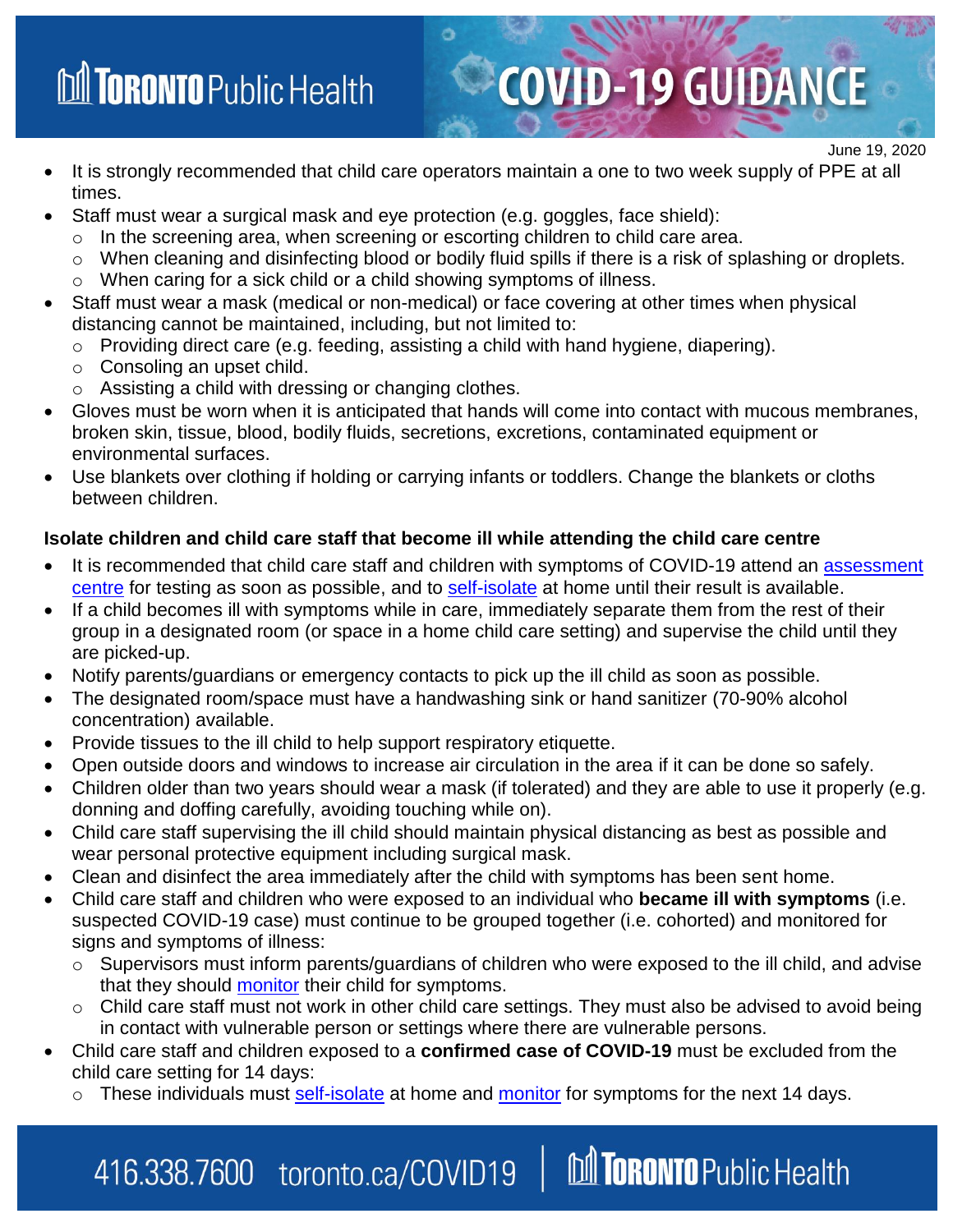## **M TORONTO** Public Health

 It is strongly recommended that child care operators maintain a one to two week supply of PPE at all times.

**COVID-19 GUIDANCE** 

June 19, 2020

- Staff must wear a surgical mask and eye protection (e.g. goggles, face shield):
	- o In the screening area, when screening or escorting children to child care area.
	- o When cleaning and disinfecting blood or bodily fluid spills if there is a risk of splashing or droplets.
	- o When caring for a sick child or a child showing symptoms of illness.
- Staff must wear a mask (medical or non-medical) or face covering at other times when physical distancing cannot be maintained, including, but not limited to:
	- o Providing direct care (e.g. feeding, assisting a child with hand hygiene, diapering).
	- o Consoling an upset child.
	- o Assisting a child with dressing or changing clothes.
- Gloves must be worn when it is anticipated that hands will come into contact with mucous membranes, broken skin, tissue, blood, bodily fluids, secretions, excretions, contaminated equipment or environmental surfaces.
- Use blankets over clothing if holding or carrying infants or toddlers. Change the blankets or cloths between children.

#### **Isolate children and child care staff that become ill while attending the child care centre**

- It is recommended that child care staff and children with symptoms of COVID-19 attend an assessment [centre](https://www.toronto.ca/home/covid-19/covid-19-what-you-should-do/covid-19-have-symptoms-or-been-exposed/covid-19-assessment-centres/) for testing as soon as possible, and to [self-isolate](https://www.toronto.ca/home/covid-19/covid-19-what-you-should-do/covid-19-have-symptoms-or-been-exposed/) at home until their result is available.
- If a child becomes ill with symptoms while in care, immediately separate them from the rest of their group in a designated room (or space in a home child care setting) and supervise the child until they are picked-up.
- Notify parents/guardians or emergency contacts to pick up the ill child as soon as possible.
- The designated room/space must have a handwashing sink or hand sanitizer (70-90% alcohol concentration) available.
- Provide tissues to the ill child to help support respiratory etiquette.

416.338.7600 toronto.ca/COVID19

- Open outside doors and windows to increase air circulation in the area if it can be done so safely.
- Children older than two years should wear a mask (if tolerated) and they are able to use it properly (e.g. donning and doffing carefully, avoiding touching while on).
- Child care staff supervising the ill child should maintain physical distancing as best as possible and wear personal protective equipment including surgical mask.
- Clean and disinfect the area immediately after the child with symptoms has been sent home.
- Child care staff and children who were exposed to an individual who **became ill with symptoms** (i.e. suspected COVID-19 case) must continue to be grouped together (i.e. cohorted) and monitored for signs and symptoms of illness:
	- o Supervisors must inform parents/guardians of children who were exposed to the ill child, and advise that they should [monitor](https://www.toronto.ca/wp-content/uploads/2020/03/8ea0-How-to-Self-Monitor_EN.pdf) their child for symptoms.
	- o Child care staff must not work in other child care settings. They must also be advised to avoid being in contact with vulnerable person or settings where there are vulnerable persons.

M TORONTO Public Health

- Child care staff and children exposed to a **confirmed case of COVID-19** must be excluded from the child care setting for 14 days:
	- o These individuals must [self-isolate](https://www.toronto.ca/wp-content/uploads/2020/04/95bd-COVID-19-How-to-Self-Isolate.pdf) at home and [monitor](https://www.toronto.ca/wp-content/uploads/2020/03/8ea0-How-to-Self-Monitor_EN.pdf) for symptoms for the next 14 days.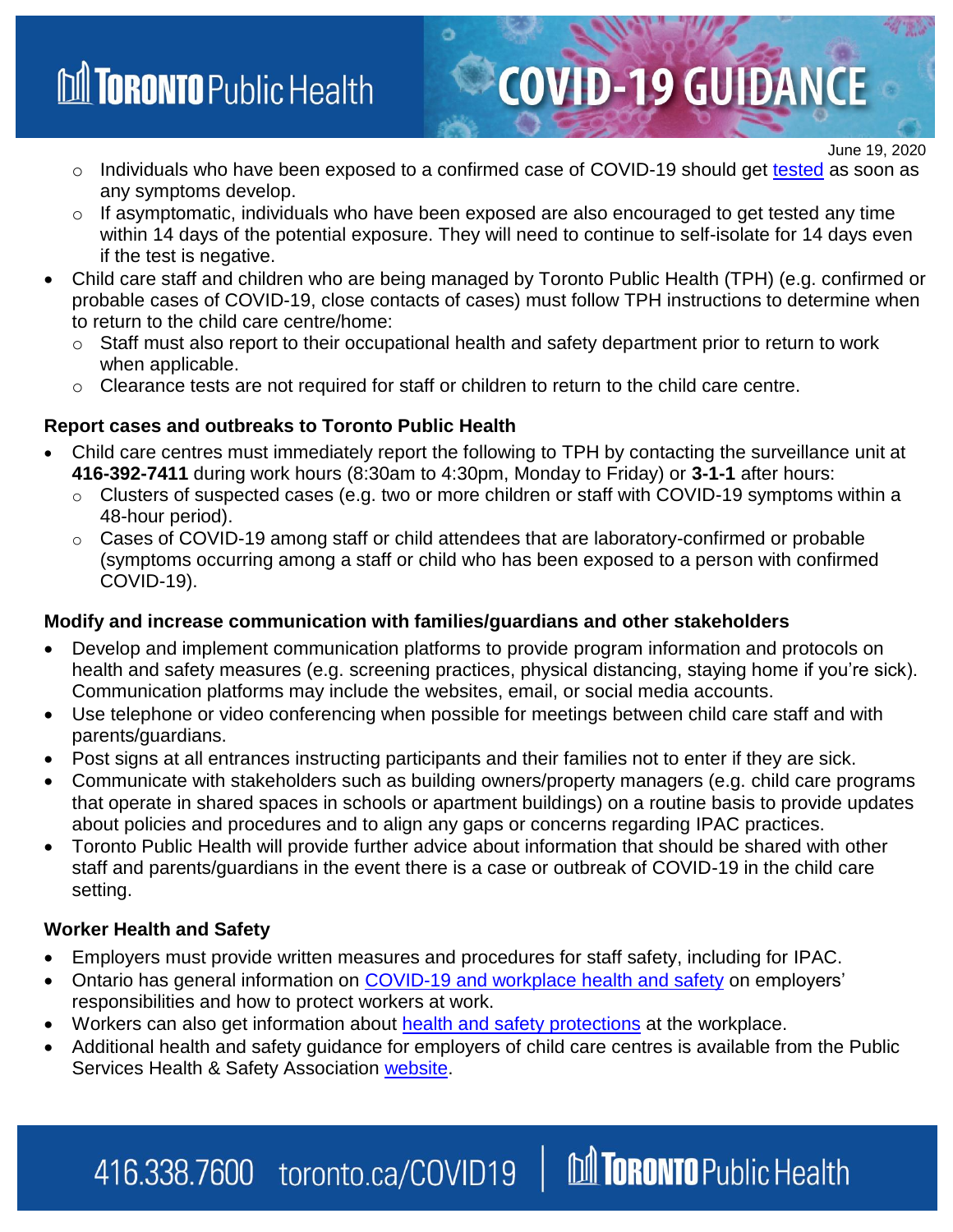### **M TORONTO** Public Health

o Individuals who have been exposed to a confirmed case of COVID-19 should get [tested](https://www.toronto.ca/home/covid-19/covid-19-what-you-should-do/covid-19-have-symptoms-or-been-exposed/covid-19-assessment-centres/) as soon as any symptoms develop.

**COVID-19 GUIDANCE** 

June 19, 2020

- $\circ$  If asymptomatic, individuals who have been exposed are also encouraged to get tested any time within 14 days of the potential exposure. They will need to continue to self-isolate for 14 days even if the test is negative.
- Child care staff and children who are being managed by Toronto Public Health (TPH) (e.g. confirmed or probable cases of COVID-19, close contacts of cases) must follow TPH instructions to determine when to return to the child care centre/home:
	- o Staff must also report to their occupational health and safety department prior to return to work when applicable.
	- $\circ$  Clearance tests are not required for staff or children to return to the child care centre.

#### **Report cases and outbreaks to Toronto Public Health**

- Child care centres must immediately report the following to TPH by contacting the surveillance unit at **416-392-7411** during work hours (8:30am to 4:30pm, Monday to Friday) or **3-1-1** after hours:
	- $\circ$  Clusters of suspected cases (e.g. two or more children or staff with COVID-19 symptoms within a 48-hour period).
	- o Cases of COVID-19 among staff or child attendees that are laboratory-confirmed or probable (symptoms occurring among a staff or child who has been exposed to a person with confirmed COVID-19).

#### **Modify and increase communication with families/guardians and other stakeholders**

- Develop and implement communication platforms to provide program information and protocols on health and safety measures (e.g. screening practices, physical distancing, staying home if you're sick). Communication platforms may include the websites, email, or social media accounts.
- Use telephone or video conferencing when possible for meetings between child care staff and with parents/guardians.
- Post signs at all entrances instructing participants and their families not to enter if they are sick.
- Communicate with stakeholders such as building owners/property managers (e.g. child care programs that operate in shared spaces in schools or apartment buildings) on a routine basis to provide updates about policies and procedures and to align any gaps or concerns regarding IPAC practices.
- Toronto Public Health will provide further advice about information that should be shared with other staff and parents/guardians in the event there is a case or outbreak of COVID-19 in the child care setting.

#### **Worker Health and Safety**

- Employers must provide written measures and procedures for staff safety, including for IPAC.
- Ontario has general information on [COVID-19 and workplace health and safety](https://www.ontario.ca/page/covid-19-coronavirus-and-workplace-health-and-safety) on employers' responsibilities and how to protect workers at work.
- Workers can also get information about [health and safety protections](https://www.ontario.ca/page/covid-19-coronavirus-and-your-employment-standards-protections) at the workplace.
- Additional health and safety guidance for employers of child care centres is available from the Public Services Health & Safety Association [website.](https://www.pshsa.ca/resources/health-and-safety-guidance-during-covid-19-for-employers-of-child-care-centre)

#### M TORONTO Public Health 416.338.7600 toronto.ca/COVID19